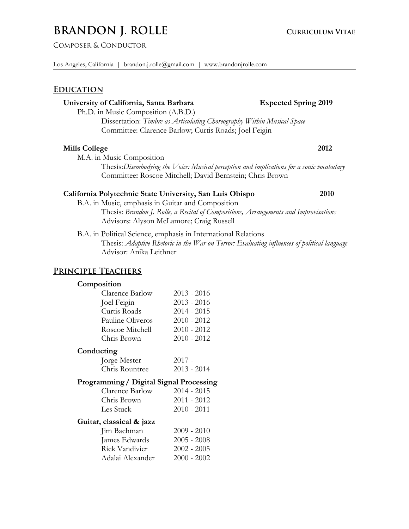# **BRANDON J. ROLLE CURRICULUM VITAE**

Composer & Conductor

## **Education**

## **University of California, Santa Barbara Expected Spring 2019**

Ph.D. in Music Composition (A.B.D.)

Dissertation: *Timbre as Articulating Choreography Within Musical Space* Committee: Clarence Barlow; Curtis Roads; Joel Feigin

## **Mills College 2012**

M.A. in Music Composition

Thesis:*Disembodying the Voice: Musical perception and implications for a sonic vocabulary* Committee**:** Roscoe Mitchell; David Bernstein; Chris Brown

## **California Polytechnic State University, San Luis Obispo 2010**

B.A. in Music, emphasis in Guitar and Composition Thesis: *Brandon J. Rolle, a Recital of Compositions, Arrangements and Improvisations* Advisors: Alyson McLamore; Craig Russell

B.A. in Political Science, emphasis in International Relations

Thesis: *Adaptive Rhetoric in the War on Terror: Evaluating influences of political language* Advisor: Anika Leithner

## **Principle Teachers**

#### **Composition**

| Clarence Barlow  | $2013 - 2016$ |
|------------------|---------------|
| Joel Feigin      | $2013 - 2016$ |
| Curtis Roads     | 2014 - 2015   |
| Pauline Oliveros | $2010 - 2012$ |
| Roscoe Mitchell  | $2010 - 2012$ |
| Chris Brown      | $2010 - 2012$ |
|                  |               |

## **Conducting**

| Jorge Mester   | $2017 -$      |
|----------------|---------------|
| Chris Rountree | $2013 - 2014$ |

## **Programming/ Digital Signal Processing**

| Clarence Barlow | $2014 - 2015$ |
|-----------------|---------------|
| Chris Brown     | $2011 - 2012$ |
| Les Stuck       | $2010 - 2011$ |

#### **Guitar, classical & jazz**

| $2009 - 2010$ |
|---------------|
| $2005 - 2008$ |
| $2002 - 2005$ |
| $2000 - 2002$ |
|               |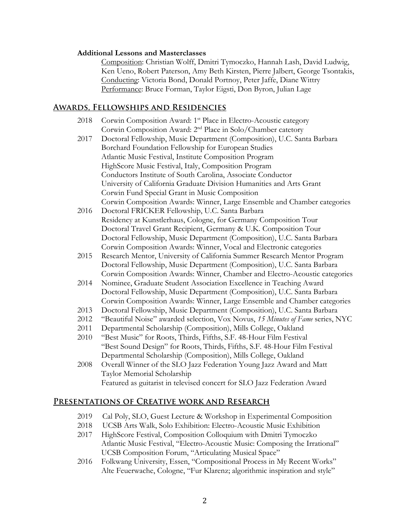## **Additional Lessons and Masterclasses**

Composition: Christian Wolff, Dmitri Tymoczko, Hannah Lash, David Ludwig, Ken Ueno, Robert Paterson, Amy Beth Kirsten, Pierre Jalbert, George Tsontakis, Conducting: Victoria Bond, Donald Portnoy, Peter Jaffe, Diane Wittry Performance: Bruce Forman, Taylor Eigsti, Don Byron, Julian Lage

## **Awards, Fellowships and Residencies**

- 2018 Corwin Composition Award: 1<sup>st</sup> Place in Electro-Acoustic category Corwin Composition Award: 2nd Place in Solo/Chamber catetory
- 2017 Doctoral Fellowship, Music Department (Composition), U.C. Santa Barbara Borchard Foundation Fellowship for European Studies Atlantic Music Festival, Institute Composition Program HighScore Music Festival, Italy, Composition Program Conductors Institute of South Carolina, Associate Conductor University of California Graduate Division Humanities and Arts Grant Corwin Fund Special Grant in Music Composition Corwin Composition Awards: Winner, Large Ensemble and Chamber categories
- 2016 Doctoral FRICKER Fellowship, U.C. Santa Barbara Residency at Kunstlerhaus, Cologne, for Germany Composition Tour Doctoral Travel Grant Recipient, Germany & U.K. Composition Tour Doctoral Fellowship, Music Department (Composition), U.C. Santa Barbara Corwin Composition Awards: Winner, Vocal and Electronic categories
- 2015 Research Mentor, University of California Summer Research Mentor Program Doctoral Fellowship, Music Department (Composition), U.C. Santa Barbara Corwin Composition Awards: Winner, Chamber and Electro-Acoustic categories
- 2014 Nominee, Graduate Student Association Excellence in Teaching Award Doctoral Fellowship, Music Department (Composition), U.C. Santa Barbara Corwin Composition Awards: Winner, Large Ensemble and Chamber categories
- 2013 Doctoral Fellowship, Music Department (Composition), U.C. Santa Barbara
- 2012 "Beautiful Noise" awarded selection, Vox Novus, *15 Minutes of Fame* series, NYC
- 2011 Departmental Scholarship (Composition), Mills College, Oakland
- 2010 "Best Music" for Roots, Thirds, Fifths, S.F. 48-Hour Film Festival "Best Sound Design" for Roots, Thirds, Fifths, S.F. 48-Hour Film Festival Departmental Scholarship (Composition), Mills College, Oakland
- 2008 Overall Winner of the SLO Jazz Federation Young Jazz Award and Matt Taylor Memorial Scholarship Featured as guitarist in televised concert for SLO Jazz Federation Award

## **Presentations of Creative work and Research**

- 2019 Cal Poly, SLO, Guest Lecture & Workshop in Experimental Composition
- 2018 UCSB Arts Walk, Solo Exhibition: Electro-Acoustic Music Exhibition
- 2017 HighScore Festival, Composition Colloquium with Dmitri Tymoczko Atlantic Music Festival, "Electro-Acoustic Music: Composing the Irrational" UCSB Composition Forum, "Articulating Musical Space"
- 2016 Folkwang University, Essen, "Compositional Process in My Recent Works" Alte Feuerwache, Cologne, "Fur Klarenz; algorithmic inspiration and style"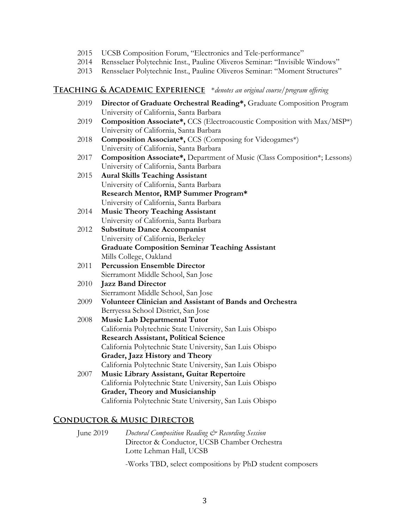- 2015 UCSB Composition Forum, "Electronics and Tele-performance"
- 2014 Rensselaer Polytechnic Inst., Pauline Oliveros Seminar: "Invisible Windows"
- 2013 Rensselaer Polytechnic Inst., Pauline Oliveros Seminar: "Moment Structures"

#### **Teaching & Academic Experience** \**denotes an original course/program offering*

- 2019 **Director of Graduate Orchestral Reading\*,** Graduate Composition Program University of California, Santa Barbara 2019 **Composition Associate\*,** CCS (Electroacoustic Composition with Max/MSP\*) University of California, Santa Barbara
- 2018 **Composition Associate\*,** CCS (Composing for Videogames\*) University of California, Santa Barbara
- 2017 **Composition Associate\*,** Department of Music (Class Composition\*; Lessons) University of California, Santa Barbara
- 2015 **Aural Skills Teaching Assistant** University of California, Santa Barbara **Research Mentor, RMP Summer Program\*** University of California, Santa Barbara
- 2014 **Music Theory Teaching Assistant** University of California, Santa Barbara
- 2012 **Substitute Dance Accompanist** University of California, Berkeley **Graduate Composition Seminar Teaching Assistant** Mills College, Oakland
- 2011 **Percussion Ensemble Director** Sierramont Middle School, San Jose
- 2010 **Jazz Band Director** Sierramont Middle School, San Jose
- 2009 **Volunteer Clinician and Assistant of Bands and Orchestra** Berryessa School District, San Jose
- 2008 **Music Lab Departmental Tutor** California Polytechnic State University, San Luis Obispo **Research Assistant, Political Science** California Polytechnic State University, San Luis Obispo **Grader, Jazz History and Theory** California Polytechnic State University, San Luis Obispo 2007 **Music Library Assistant, Guitar Repertoire**
- California Polytechnic State University, San Luis Obispo **Grader, Theory and Musicianship** California Polytechnic State University, San Luis Obispo

### **Conductor & Music Director**

June 2019 *Doctoral Composition Reading & Recording Session* Director & Conductor, UCSB Chamber Orchestra Lotte Lehman Hall, UCSB

-Works TBD, select compositions by PhD student composers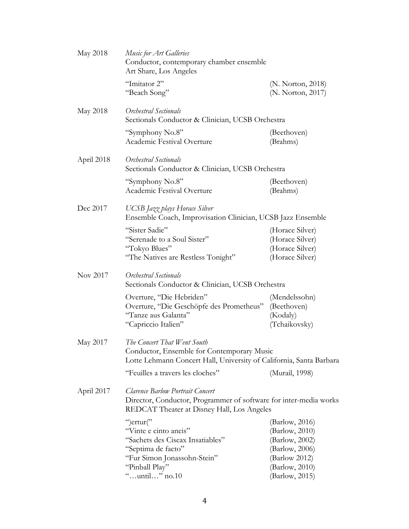| May 2018   | Music for Art Galleries<br>Conductor, contemporary chamber ensemble<br>Art Share, Los Angeles                                                       |                                                                          |  |
|------------|-----------------------------------------------------------------------------------------------------------------------------------------------------|--------------------------------------------------------------------------|--|
|            | "Imitator 2"<br>"Beach Song"                                                                                                                        | (N. Norton, 2018)<br>(N. Norton, 2017)                                   |  |
| May 2018   | Orchestral Sectionals<br>Sectionals Conductor & Clinician, UCSB Orchestra                                                                           |                                                                          |  |
|            | "Symphony No.8"<br>Academic Festival Overture                                                                                                       | (Beethoven)<br>(Brahms)                                                  |  |
| April 2018 | Orchestral Sectionals<br>Sectionals Conductor & Clinician, UCSB Orchestra                                                                           |                                                                          |  |
|            | "Symphony No.8"<br>Academic Festival Overture                                                                                                       | (Beethoven)<br>(Brahms)                                                  |  |
| Dec 2017   | UCSB Jazz plays Horace Silver<br>Ensemble Coach, Improvisation Clinician, UCSB Jazz Ensemble                                                        |                                                                          |  |
|            | "Sister Sadie"<br>"Serenade to a Soul Sister"<br>"Tokyo Blues"<br>"The Natives are Restless Tonight"                                                | (Horace Silver)<br>(Horace Silver)<br>(Horace Silver)<br>(Horace Silver) |  |
| Nov 2017   | Orchestral Sectionals<br>Sectionals Conductor & Clinician, UCSB Orchestra                                                                           |                                                                          |  |
|            | Overture, "Die Hebriden"<br>Overture, "Die Geschöpfe des Prometheus"<br>"Tanze aus Galanta"<br>"Capriccio Italien"                                  | (Mendelssohn)<br>(Beethoven)<br>(Kodaly)<br>(Tchaikovsky)                |  |
| May 2017   | The Concert That Went South<br>Conductor, Ensemble for Contemporary Music<br>Lotte Lehmann Concert Hall, University of California, Santa Barbara    |                                                                          |  |
|            | "Feuilles a travers les cloches"                                                                                                                    | (Murail, 1998)                                                           |  |
| April 2017 | Clarence Barlow Portrait Concert<br>Director, Conductor, Programmer of software for inter-media works<br>REDCAT Theater at Disney Hall, Los Angeles |                                                                          |  |
|            | ")ertur("                                                                                                                                           | (Barlow, 2016)                                                           |  |
|            | "Vinte e cinto aneis"                                                                                                                               | (Barlow, 2010)                                                           |  |
|            | "Sachets des Ciseax Insatiables"                                                                                                                    | (Barlow, 2002)                                                           |  |
|            | "Septima de facto"                                                                                                                                  | (Barlow, 2006)                                                           |  |
|            | "Fur Simon Jonassohn-Stein"<br>"Pinball Play"                                                                                                       | (Barlow 2012)<br>(Barlow, 2010)                                          |  |
|            | "until" no.10                                                                                                                                       | (Barlow, 2015)                                                           |  |
|            |                                                                                                                                                     |                                                                          |  |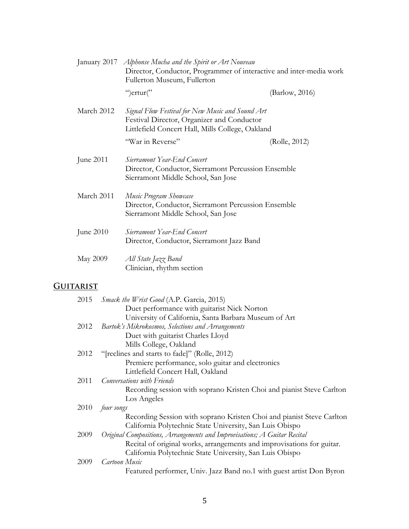|                  | January 2017 Alphonse Mucha and the Spirit or Art Nouveau<br>Director, Conductor, Programmer of interactive and inter-media work<br>Fullerton Museum, Fullerton                                               |
|------------------|---------------------------------------------------------------------------------------------------------------------------------------------------------------------------------------------------------------|
|                  | ")ertur("<br>(Barlow, 2016)                                                                                                                                                                                   |
| March 2012       | Signal Flow Festival for New Music and Sound Art<br>Festival Director, Organizer and Conductor<br>Littlefield Concert Hall, Mills College, Oakland                                                            |
|                  | "War in Reverse"<br>(Rolle, 2012)                                                                                                                                                                             |
| June 2011        | Sierramont Year-End Concert<br>Director, Conductor, Sierramont Percussion Ensemble<br>Sierramont Middle School, San Jose                                                                                      |
| March 2011       | Music Program Showcase<br>Director, Conductor, Sierramont Percussion Ensemble<br>Sierramont Middle School, San Jose                                                                                           |
| June 2010        | Sierramont Year-End Concert<br>Director, Conductor, Sierramont Jazz Band                                                                                                                                      |
| May 2009         | All State Jazz Band<br>Clinician, rhythm section                                                                                                                                                              |
| <b>GUITARIST</b> |                                                                                                                                                                                                               |
| 2015             | <i>Smack the Wrist Good</i> (A.P. Garcia, 2015)<br>Duet performance with guitarist Nick Norton<br>University of California, Santa Barbara Museum of Art                                                       |
| 2012             | Bartok's Mikrokosmos, Selections and Arrangements<br>Duet with guitarist Charles Lloyd<br>Mills College, Oakland                                                                                              |
| 2012             | "[reclines and starts to fade]" (Rolle, 2012)<br>Premiere performance, solo guitar and electronics<br>Littlefield Concert Hall, Oakland                                                                       |
| 2011             | Conversations with Friends<br>Recording session with soprano Kristen Choi and pianist Steve Carlton                                                                                                           |
| 2010             | Los Angeles<br>four songs                                                                                                                                                                                     |
| 2009             | Recording Session with soprano Kristen Choi and pianist Steve Carlton<br>California Polytechnic State University, San Luis Obispo<br>Original Compositions, Arrangements and Improvisations; A Guitar Recital |
| 2009             | Recital of original works, arrangements and improvisations for guitar.<br>California Polytechnic State University, San Luis Obispo<br><b>Cartoon Music</b>                                                    |
|                  | Featured performer, Univ. Jazz Band no.1 with guest artist Don Byron                                                                                                                                          |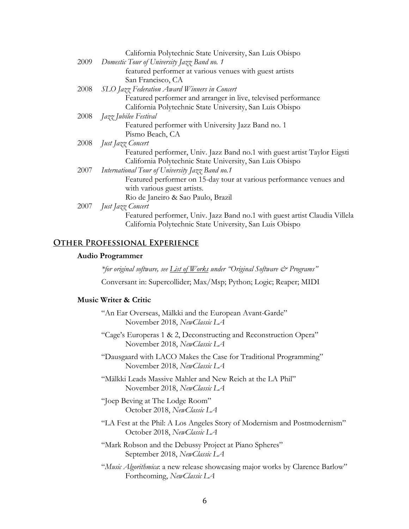|      | California Polytechnic State University, San Luis Obispo                   |
|------|----------------------------------------------------------------------------|
| 2009 | Domestic Tour of University Jazz Band no. 1                                |
|      | featured performer at various venues with guest artists                    |
|      | San Francisco, CA                                                          |
| 2008 | SLO Jazz Federation Award Winners in Concert                               |
|      | Featured performer and arranger in live, televised performance             |
|      | California Polytechnic State University, San Luis Obispo                   |
| 2008 | Jazz Jubilee Festival                                                      |
|      | Featured performer with University Jazz Band no. 1                         |
|      | Pismo Beach, CA                                                            |
| 2008 | Just Jazz Concert                                                          |
|      | Featured performer, Univ. Jazz Band no.1 with guest artist Taylor Eigsti   |
|      | California Polytechnic State University, San Luis Obispo                   |
| 2007 | International Tour of University Jazz Band no.1                            |
|      | Featured performer on 15-day tour at various performance venues and        |
|      | with various guest artists.                                                |
|      | Rio de Janeiro & Sao Paulo, Brazil                                         |
|      | 2007 <i>Just Jazz Concert</i>                                              |
|      | Featured performer, Univ. Jazz Band no.1 with guest artist Claudia Villela |
|      | California Polytechnic State University, San Luis Obispo                   |
|      |                                                                            |

## **Other Professional Experience**

#### **Audio Programmer**

*\*for original software, see List of Works under "Original Software & Programs"*

Conversant in: Supercollider; Max/Msp; Python; Logic; Reaper; MIDI

#### **Music Writer & Critic**

- "An Ear Overseas, Mälkki and the European Avant-Garde" November 2018, *NewClassic LA*
- "Cage's Europeras 1 & 2, Deconstructing and Reconstruction Opera" November 2018, *NewClassic LA*
- "Dausgaard with LACO Makes the Case for Traditional Programming" November 2018, *NewClassic LA*
- "Mälkki Leads Massive Mahler and New Reich at the LA Phil" November 2018, *NewClassic LA*
- "Joep Beving at The Lodge Room" October 2018, *NewClassic LA*
- "LA Fest at the Phil: A Los Angeles Story of Modernism and Postmodernism" October 2018, *NewClassic LA*
- "Mark Robson and the Debussy Project at Piano Spheres" September 2018, *NewClassic LA*
- "*Music Algorithmica*: a new release showcasing major works by Clarence Barlow" Forthcoming, *NewClassic LA*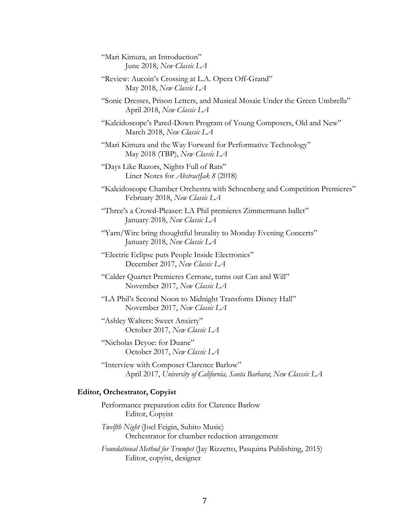"Mari Kimura, an Introduction" June 2018, *New Classic LA*

"Review: Aucoin's Crossing at L.A. Opera Off-Grand" May 2018, *New Classic LA*

"Sonic Dresses, Prison Letters, and Musical Mosaic Under the Green Umbrella" April 2018, *New Classic LA*

"Kaleidoscope's Pared-Down Program of Young Composers, Old and New" March 2018, *New Classic LA*

"Mari Kimura and the Way Forward for Performative Technology" May 2018 (TBP), *New Classic LA*

"Days Like Razors, Nights Full of Rats" Liner Notes for *AbstractJak 8* (2018)

"Kaleidoscope Chamber Orchestra with Schoenberg and Competition Premieres" February 2018, *New Classic LA*

"Three's a Crowd-Pleaser: LA Phil premieres Zimmermann ballet" January 2018, *New Classic LA*

"Yarn/Wire bring thoughtful brutality to Monday Evening Concerts" January 2018, *New Classic LA*

"Electric Eclipse puts People Inside Electronics" December 2017, *New Classic LA*

"Calder Quartet Premieres Cerrone, turns out Can and Will" November 2017, *New Classic LA*

"LA Phil's Second Noon to Midnight Transfoms Disney Hall" November 2017, *New Classic LA*

"Ashley Walters: Sweet Anxiety" October 2017, *New Classic LA*

"Nicholas Deyoe: for Duane" October 2017, *New Classic LA*

"Interview with Composer Clarence Barlow" April 2017, *University of California, Santa Barbara*; *New Classsic LA*

## **Editor, Orchestrator, Copyist**

Performance preparation edits for Clarence Barlow Editor, Copyist

*Twelfth Night* (Joel Feigin, Subito Music) Orchestrator for chamber reduction arrangement

*Foundational Method for Trumpet* (Jay Rizzetto, Pasquina Publishing, 2015) Editor, copyist, designer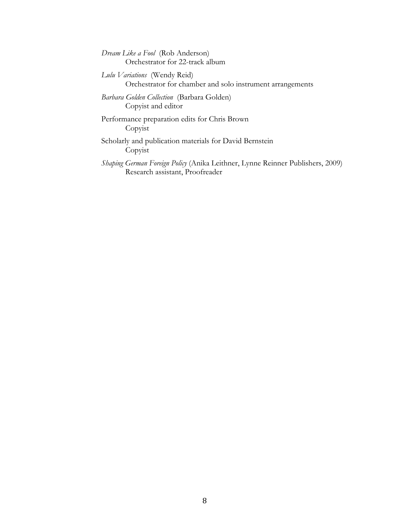*Dream Like a Fool* (Rob Anderson) Orchestrator for 22-track album

*Lulu Variations* (Wendy Reid) Orchestrator for chamber and solo instrument arrangements

*Barbara Golden Collection* (Barbara Golden) Copyist and editor

Performance preparation edits for Chris Brown Copyist

Scholarly and publication materials for David Bernstein Copyist

*Shaping German Foreign Policy* (Anika Leithner, Lynne Reinner Publishers, 2009) Research assistant, Proofreader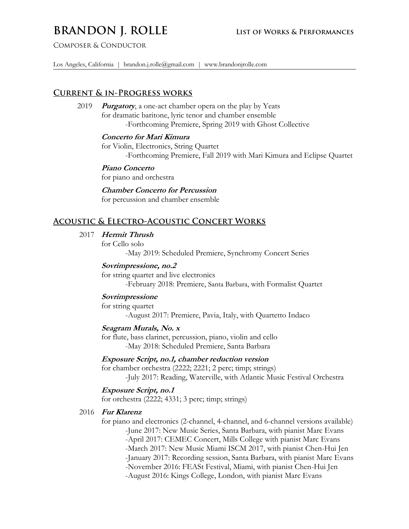# **BRANDON J. ROLLE** LIST OF WORKS & PERFORMANCES

Composer & Conductor

Los Angeles, California | brandon.j.rolle@gmail.com | www.brandonjrolle.com ..

## **Current & in-Progress works**

## 2019 **Purgatory**, a one-act chamber opera on the play by Yeats for dramatic baritone, lyric tenor and chamber ensemble -Forthcoming Premiere, Spring 2019 with Ghost Collective

## **Concerto for Mari Kimura**

 for Violin, Electronics, String Quartet -Forthcoming Premiere, Fall 2019 with Mari Kimura and Eclipse Quartet

#### **Piano Concerto**

for piano and orchestra

**Chamber Concerto for Percussion**

for percussion and chamber ensemble

## **Acoustic & Electro-Acoustic Concert Works**

## 2017 **Hermit Thrush**

for Cello solo

-May 2019: Scheduled Premiere, Synchromy Concert Series

## **Sovrimpressione, no.2**

 for string quartet and live electronics -February 2018: Premiere, Santa Barbara, with Formalist Quartet

## **Sovrimpressione**

for string quartet

-August 2017: Premiere, Pavia, Italy, with Quartetto Indaco

## **Seagram Murals, No. x**

 for flute, bass clarinet, percussion, piano, violin and cello -May 2018: Scheduled Premiere, Santa Barbara

#### **Exposure Script, no.1, chamber reduction version**

 for chamber orchestra (2222; 2221; 2 perc; timp; strings) -July 2017: Reading, Waterville, with Atlantic Music Festival Orchestra

## **Exposure Script, no.1**

for orchestra (2222; 4331; 3 perc; timp; strings)

#### 2016 **Fur Klarenz**

 for piano and electronics (2-channel, 4-channel, and 6-channel versions available) -June 2017: New Music Series, Santa Barbara, with pianist Marc Evans -April 2017: CEMEC Concert, Mills College with pianist Marc Evans -March 2017: New Music Miami ISCM 2017, with pianist Chen-Hui Jen -January 2017: Recording session, Santa Barbara, with pianist Marc Evans -November 2016: FEASt Festival, Miami, with pianist Chen-Hui Jen -August 2016: Kings College, London, with pianist Marc Evans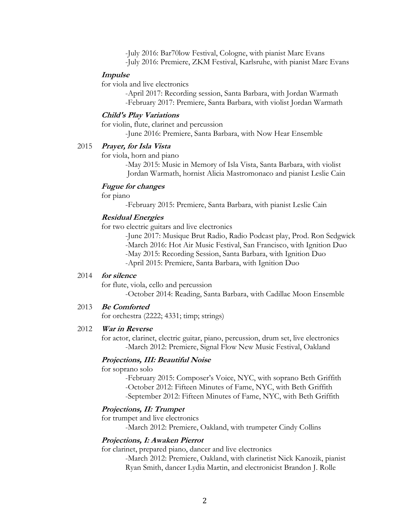-July 2016: Bar70low Festival, Cologne, with pianist Marc Evans -July 2016: Premiere, ZKM Festival, Karlsruhe, with pianist Marc Evans

#### **Impulse**

for viola and live electronics

-April 2017: Recording session, Santa Barbara, with Jordan Warmath -February 2017: Premiere, Santa Barbara, with violist Jordan Warmath

#### **Child's Play Variations**

 for violin, flute, clarinet and percussion -June 2016: Premiere, Santa Barbara, with Now Hear Ensemble

#### 2015 **Prayer, for Isla Vista**

for viola, horn and piano

-May 2015: Music in Memory of Isla Vista, Santa Barbara, with violist Jordan Warmath, hornist Alicia Mastromonaco and pianist Leslie Cain

## **Fugue for changes**

for piano

-February 2015: Premiere, Santa Barbara, with pianist Leslie Cain

## **Residual Energies**

for two electric guitars and live electronics

-June 2017: Musique Brut Radio, Radio Podcast play, Prod. Ron Sedgwick -March 2016: Hot Air Music Festival, San Francisco, with Ignition Duo -May 2015: Recording Session, Santa Barbara, with Ignition Duo -April 2015: Premiere, Santa Barbara, with Ignition Duo

#### 2014 **for silence**

for flute, viola, cello and percussion

-October 2014: Reading, Santa Barbara, with Cadillac Moon Ensemble

#### 2013 **Be Comforted**

for orchestra (2222; 4331; timp; strings)

### 2012 **War in Reverse**

 for actor, clarinet, electric guitar, piano, percussion, drum set, live electronics -March 2012: Premiere, Signal Flow New Music Festival, Oakland

#### **Projections, III: Beautiful Noise**

#### for soprano solo

-February 2015: Composer's Voice, NYC, with soprano Beth Griffith -October 2012: Fifteen Minutes of Fame, NYC, with Beth Griffith -September 2012: Fifteen Minutes of Fame, NYC, with Beth Griffith

#### **Projections, II: Trumpet**

for trumpet and live electronics

-March 2012: Premiere, Oakland, with trumpeter Cindy Collins

## **Projections, I: Awaken Pierrot**

for clarinet, prepared piano, dancer and live electronics

-March 2012: Premiere, Oakland, with clarinetist Nick Kanozik, pianist Ryan Smith, dancer Lydia Martin, and electronicist Brandon J. Rolle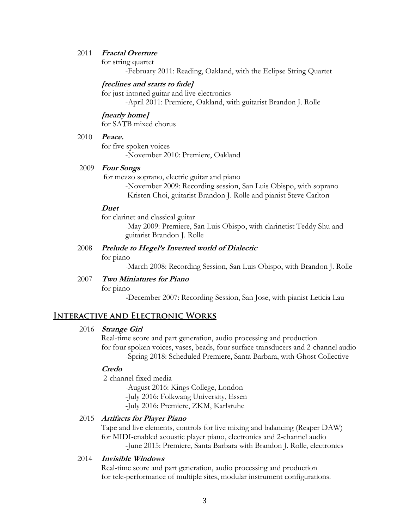### 2011 **Fractal Overture**

for string quartet

-February 2011: Reading, Oakland, with the Eclipse String Quartet

#### **[reclines and starts to fade]**

for just-intoned guitar and live electronics

-April 2011: Premiere, Oakland, with guitarist Brandon J. Rolle

**[nearly home]** for SATB mixed chorus

### 2010 **Peace.**

 for five spoken voices -November 2010: Premiere, Oakland

### 2009 **Four Songs**

for mezzo soprano, electric guitar and piano

-November 2009: Recording session, San Luis Obispo, with soprano Kristen Choi, guitarist Brandon J. Rolle and pianist Steve Carlton

## **Duet**

 for clarinet and classical guitar -May 2009: Premiere, San Luis Obispo, with clarinetist Teddy Shu and guitarist Brandon J. Rolle

 2008 **Prelude to Hegel's Inverted world of Dialectic** for piano

-March 2008: Recording Session, San Luis Obispo, with Brandon J. Rolle

## 2007 **Two Miniatures for Piano**

for piano

**-**December 2007: Recording Session, San Jose, with pianist Leticia Lau

## **Interactive and Electronic Works**

#### 2016 **Strange Girl**

 Real-time score and part generation, audio processing and production for four spoken voices, vases, beads, four surface transducers and 2-channel audio -Spring 2018: Scheduled Premiere, Santa Barbara, with Ghost Collective

#### **Credo**

2-channel fixed media

-August 2016: Kings College, London

-July 2016: Folkwang University, Essen

-July 2016: Premiere, ZKM, Karlsruhe

## 2015 **Artifacts for Player Piano**

 Tape and live elements, controls for live mixing and balancing (Reaper DAW) for MIDI-enabled acoustic player piano, electronics and 2-channel audio -June 2015: Premiere, Santa Barbara with Brandon J. Rolle, electronics

#### 2014 **Invisible Windows**

 Real-time score and part generation, audio processing and production for tele-performance of multiple sites, modular instrument configurations.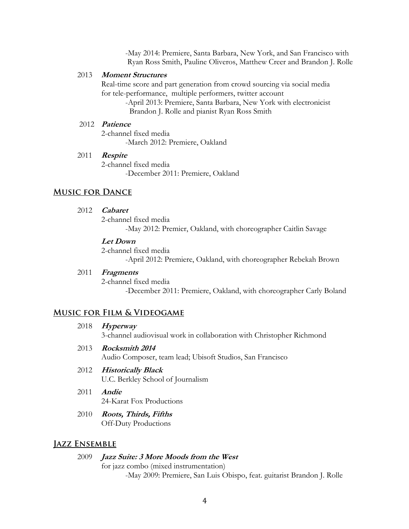-May 2014: Premiere, Santa Barbara, New York, and San Francisco with Ryan Ross Smith, Pauline Oliveros, Matthew Creer and Brandon J. Rolle

#### 2013 **Moment Structures**

 Real-time score and part generation from crowd sourcing via social media for tele-performance, multiple performers, twitter account

> -April 2013: Premiere, Santa Barbara, New York with electronicist Brandon J. Rolle and pianist Ryan Ross Smith

## 2012 **Patience**

 2-channel fixed media -March 2012: Premiere, Oakland

#### 2011 **Respite**

 2-channel fixed media -December 2011: Premiere, Oakland

## **Music for Dance**

## 2012 **Cabaret**

 2-channel fixed media -May 2012: Premier, Oakland, with choreographer Caitlin Savage

#### **Let Down**

2-channel fixed media

-April 2012: Premiere, Oakland, with choreographer Rebekah Brown

## 2011 **Fragments**

 2-channel fixed media -December 2011: Premiere, Oakland, with choreographer Carly Boland

## **Music for Film & Videogame**

#### 2018 **Hyperway**

3-channel audiovisual work in collaboration with Christopher Richmond

2013 **Rocksmith 2014**

Audio Composer, team lead; Ubisoft Studios, San Francisco

## 2012 **Historically Black**

U.C. Berkley School of Journalism

- 2011 **Andie**  24-Karat Fox Productions
- 2010 **Roots, Thirds, Fifths** Off-Duty Productions

#### **Jazz Ensemble**

#### 2009 **Jazz Suite: 3 More Moods from the West**

for jazz combo (mixed instrumentation)

-May 2009: Premiere, San Luis Obispo, feat. guitarist Brandon J. Rolle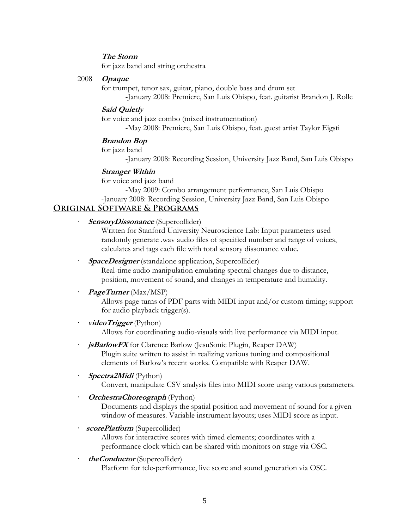## **The Storm**

for jazz band and string orchestra

## 2008 **Opaque**

for trumpet, tenor sax, guitar, piano, double bass and drum set -January 2008: Premiere, San Luis Obispo, feat. guitarist Brandon J. Rolle

## **Said Quietly**

 for voice and jazz combo (mixed instrumentation) -May 2008: Premiere, San Luis Obispo, feat. guest artist Taylor Eigsti

#### **Brandon Bop**

for jazz band

-January 2008: Recording Session, University Jazz Band, San Luis Obispo

#### **Stranger Within**

for voice and jazz band

-May 2009: Combo arrangement performance, San Luis Obispo -January 2008: Recording Session, University Jazz Band, San Luis Obispo

## **Original Software & Programs**

**SensoryDissonance** (Supercollider)

Written for Stanford University Neuroscience Lab: Input parameters used randomly generate .wav audio files of specified number and range of voices, calculates and tags each file with total sensory dissonance value.

**SpaceDesigner** (standalone application, Supercollider)

Real-time audio manipulation emulating spectral changes due to distance, position, movement of sound, and changes in temperature and humidity.

#### *PageTurner* (Max/MSP)

Allows page turns of PDF parts with MIDI input and/or custom timing; support for audio playback trigger(s).

#### · **videoTrigger** (Python) Allows for coordinating audio-visuals with live performance via MIDI input.

*jsBarlowFX* for Clarence Barlow (JesuSonic Plugin, Reaper DAW) Plugin suite written to assist in realizing various tuning and compositional elements of Barlow's recent works. Compatible with Reaper DAW.

## · **Spectra2Midi** (Python) Convert, manipulate CSV analysis files into MIDI score using various parameters.

· **OrchestraChoreograph** (Python)

Documents and displays the spatial position and movement of sound for a given window of measures. Variable instrument layouts; uses MIDI score as input.

· **scorePlatform** (Supercollider)

Allows for interactive scores with timed elements; coordinates with a performance clock which can be shared with monitors on stage via OSC.

## · **theConductor** (Supercollider)

Platform for tele-performance, live score and sound generation via OSC.